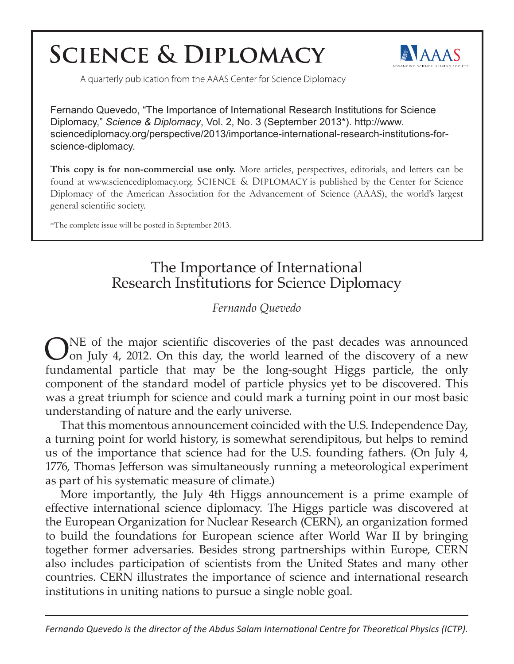## **SCIENCE & DIPLOMACY**



A quarterly publication from the AAAS Center for Science Diplomacy

Fernando Quevedo, "The Importance of International Research Institutions for Science Diplomacy," *Science & Diplomacy*, Vol. 2, No. 3 (September 2013\*). http://www. sciencediplomacy.org/perspective/2013/importance-international-research-institutions-forscience-diplomacy.

**This copy is for non-commercial use only.** More articles, perspectives, editorials, and letters can be found at www.sciencediplomacy.org. SCIENCE & DIPLOMACY is published by the Center for Science Diplomacy of the American Association for the Advancement of Science (AAAS), the world's largest general scientific society.

\*The complete issue will be posted in September 2013.

## The Importance of International Research Institutions for Science Diplomacy

## *Fernando Quevedo*

ONE of the major scientific discoveries of the past decades was announced<br>Oon July 4, 2012. On this day, the world learned of the discovery of a new fundamental particle that may be the long-sought Higgs particle, the only component of the standard model of particle physics yet to be discovered. This was a great triumph for science and could mark a turning point in our most basic understanding of nature and the early universe.

That this momentous announcement coincided with the U.S. Independence Day, a turning point for world history, is somewhat serendipitous, but helps to remind us of the importance that science had for the U.S. founding fathers. (On July 4, 1776, Thomas Jefferson was simultaneously running a meteorological experiment as part of his systematic measure of climate.)

More importantly, the July 4th Higgs announcement is a prime example of effective international science diplomacy. The Higgs particle was discovered at the European Organization for Nuclear Research (CERN), an organization formed to build the foundations for European science after World War II by bringing together former adversaries. Besides strong partnerships within Europe, CERN also includes participation of scientists from the United States and many other countries. CERN illustrates the importance of science and international research institutions in uniting nations to pursue a single noble goal.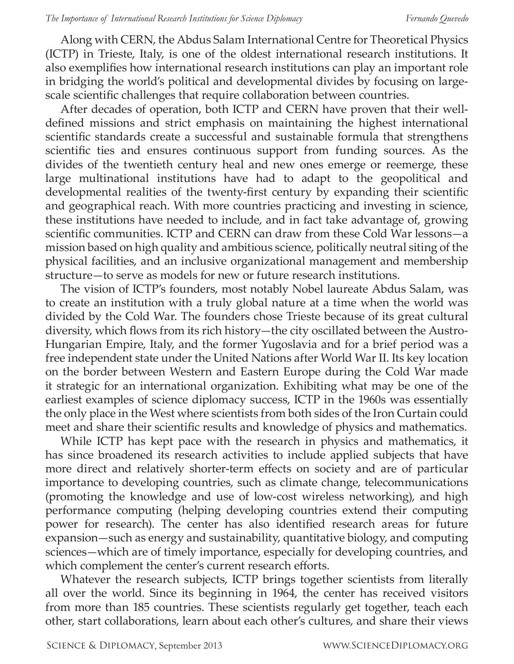Along with CERN, the Abdus Salam International Centre for Theoretical Physics (ICTP) in Trieste, Italy, is one of the oldest international research institutions. It also exemplifies how international research institutions can play an important role in bridging the world's political and developmental divides by focusing on largescale scientific challenges that require collaboration between countries.

After decades of operation, both ICTP and CERN have proven that their welldefined missions and strict emphasis on maintaining the highest international scientific standards create a successful and sustainable formula that strengthens scientific ties and ensures continuous support from funding sources. As the divides of the twentieth century heal and new ones emerge or reemerge, these large multinational institutions have had to adapt to the geopolitical and developmental realities of the twenty-first century by expanding their scientific and geographical reach. With more countries practicing and investing in science, these institutions have needed to include, and in fact take advantage of, growing scientific communities. ICTP and CERN can draw from these Cold War lessons—a mission based on high quality and ambitious science, politically neutral siting of the physical facilities, and an inclusive organizational management and membership structure—to serve as models for new or future research institutions.

The vision of ICTP's founders, most notably Nobel laureate Abdus Salam, was to create an institution with a truly global nature at a time when the world was divided by the Cold War. The founders chose Trieste because of its great cultural diversity, which flows from its rich history—the city oscillated between the Austro-Hungarian Empire, Italy, and the former Yugoslavia and for a brief period was a free independent state under the United Nations after World War II. Its key location on the border between Western and Eastern Europe during the Cold War made it strategic for an international organization. Exhibiting what may be one of the earliest examples of science diplomacy success, ICTP in the 1960s was essentially the only place in the West where scientists from both sides of the Iron Curtain could meet and share their scientific results and knowledge of physics and mathematics.

While ICTP has kept pace with the research in physics and mathematics, it has since broadened its research activities to include applied subjects that have more direct and relatively shorter-term effects on society and are of particular importance to developing countries, such as climate change, telecommunications (promoting the knowledge and use of low-cost wireless networking), and high performance computing (helping developing countries extend their computing power for research). The center has also identified research areas for future expansion—such as energy and sustainability, quantitative biology, and computing sciences—which are of timely importance, especially for developing countries, and which complement the center's current research efforts.

Whatever the research subjects, ICTP brings together scientists from literally all over the world. Since its beginning in 1964, the center has received visitors from more than 185 countries. These scientists regularly get together, teach each other, start collaborations, learn about each other's cultures, and share their views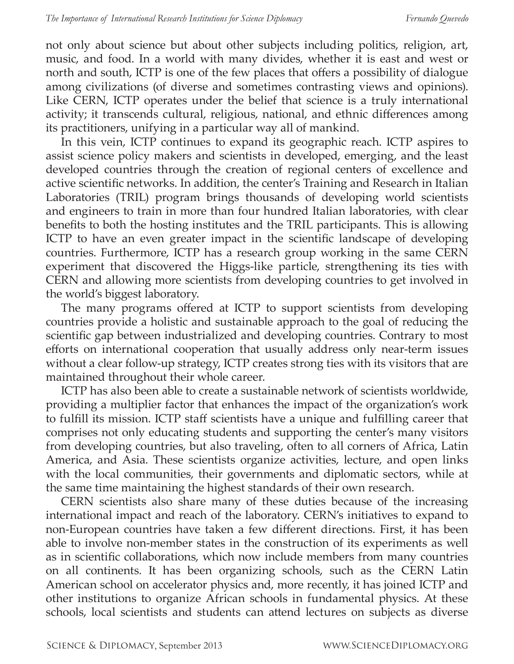not only about science but about other subjects including politics, religion, art, music, and food. In a world with many divides, whether it is east and west or north and south, ICTP is one of the few places that offers a possibility of dialogue among civilizations (of diverse and sometimes contrasting views and opinions). Like CERN, ICTP operates under the belief that science is a truly international activity; it transcends cultural, religious, national, and ethnic differences among its practitioners, unifying in a particular way all of mankind.

In this vein, ICTP continues to expand its geographic reach. ICTP aspires to assist science policy makers and scientists in developed, emerging, and the least developed countries through the creation of regional centers of excellence and active scientific networks. In addition, the center's Training and Research in Italian Laboratories (TRIL) program brings thousands of developing world scientists and engineers to train in more than four hundred Italian laboratories, with clear benefits to both the hosting institutes and the TRIL participants. This is allowing ICTP to have an even greater impact in the scientific landscape of developing countries. Furthermore, ICTP has a research group working in the same CERN experiment that discovered the Higgs-like particle, strengthening its ties with CERN and allowing more scientists from developing countries to get involved in the world's biggest laboratory.

The many programs offered at ICTP to support scientists from developing countries provide a holistic and sustainable approach to the goal of reducing the scientific gap between industrialized and developing countries. Contrary to most efforts on international cooperation that usually address only near-term issues without a clear follow-up strategy, ICTP creates strong ties with its visitors that are maintained throughout their whole career.

ICTP has also been able to create a sustainable network of scientists worldwide, providing a multiplier factor that enhances the impact of the organization's work to fulfill its mission. ICTP staff scientists have a unique and fulfilling career that comprises not only educating students and supporting the center's many visitors from developing countries, but also traveling, often to all corners of Africa, Latin America, and Asia. These scientists organize activities, lecture, and open links with the local communities, their governments and diplomatic sectors, while at the same time maintaining the highest standards of their own research.

CERN scientists also share many of these duties because of the increasing international impact and reach of the laboratory. CERN's initiatives to expand to non-European countries have taken a few different directions. First, it has been able to involve non-member states in the construction of its experiments as well as in scientific collaborations, which now include members from many countries on all continents. It has been organizing schools, such as the CERN Latin American school on accelerator physics and, more recently, it has joined ICTP and other institutions to organize African schools in fundamental physics. At these schools, local scientists and students can attend lectures on subjects as diverse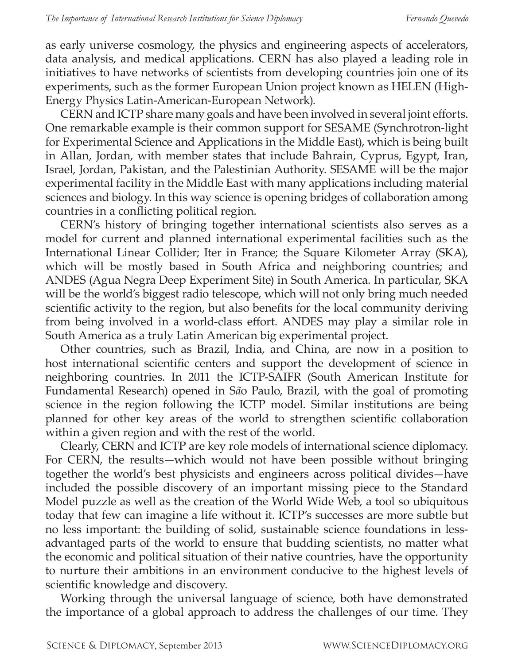as early universe cosmology, the physics and engineering aspects of accelerators, data analysis, and medical applications. CERN has also played a leading role in initiatives to have networks of scientists from developing countries join one of its experiments, such as the former European Union project known as HELEN (High-Energy Physics Latin-American-European Network).

CERN and ICTP share many goals and have been involved in several joint efforts. One remarkable example is their common support for SESAME (Synchrotron-light for Experimental Science and Applications in the Middle East), which is being built in Allan, Jordan, with member states that include Bahrain, Cyprus, Egypt, Iran, Israel, Jordan, Pakistan, and the Palestinian Authority. SESAME will be the major experimental facility in the Middle East with many applications including material sciences and biology. In this way science is opening bridges of collaboration among countries in a conflicting political region.

CERN's history of bringing together international scientists also serves as a model for current and planned international experimental facilities such as the International Linear Collider; Iter in France; the Square Kilometer Array (SKA), which will be mostly based in South Africa and neighboring countries; and ANDES (Agua Negra Deep Experiment Site) in South America. In particular, SKA will be the world's biggest radio telescope, which will not only bring much needed scientific activity to the region, but also benefits for the local community deriving from being involved in a world-class effort. ANDES may play a similar role in South America as a truly Latin American big experimental project.

Other countries, such as Brazil, India, and China, are now in a position to host international scientific centers and support the development of science in neighboring countries. In 2011 the ICTP-SAIFR (South American Institute for Fundamental Research) opened in S*ã*o Paulo, Brazil, with the goal of promoting science in the region following the ICTP model. Similar institutions are being planned for other key areas of the world to strengthen scientific collaboration within a given region and with the rest of the world.

Clearly, CERN and ICTP are key role models of international science diplomacy. For CERN, the results—which would not have been possible without bringing together the world's best physicists and engineers across political divides—have included the possible discovery of an important missing piece to the Standard Model puzzle as well as the creation of the World Wide Web, a tool so ubiquitous today that few can imagine a life without it. ICTP's successes are more subtle but no less important: the building of solid, sustainable science foundations in lessadvantaged parts of the world to ensure that budding scientists, no matter what the economic and political situation of their native countries, have the opportunity to nurture their ambitions in an environment conducive to the highest levels of scientific knowledge and discovery.

Working through the universal language of science, both have demonstrated the importance of a global approach to address the challenges of our time. They